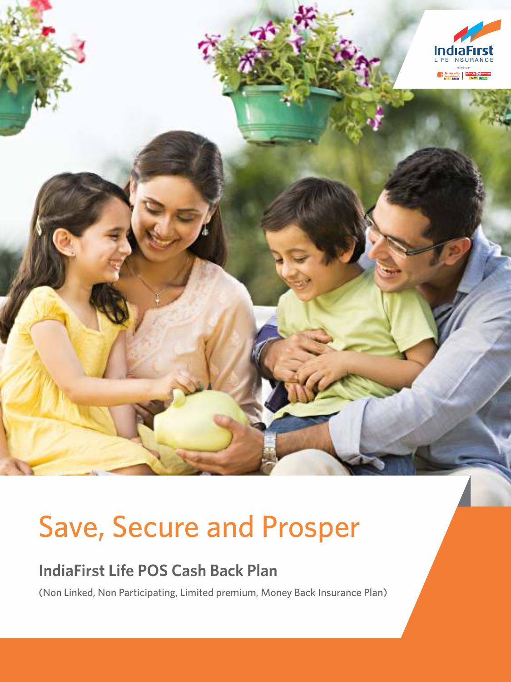

# Save, Secure and Prosper

## **IndiaFirst Life POS Cash Back Plan**

(Non Linked, Non Participating, Limited premium, Money Back Insurance Plan)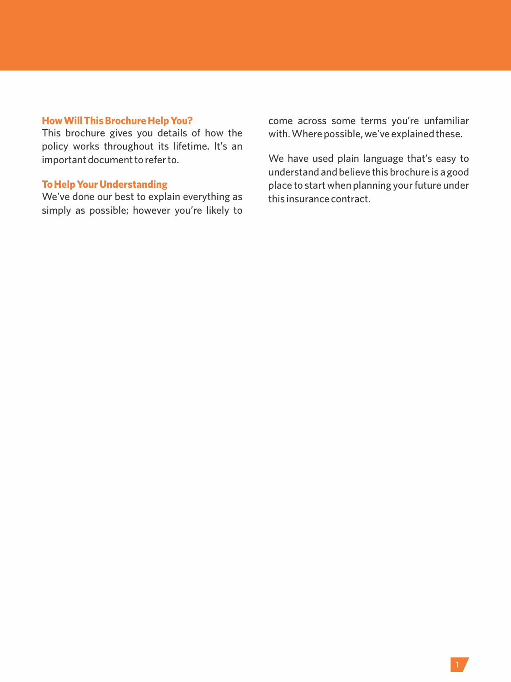## **How Will This Brochure Help You?**

This brochure gives you details of how the policy works throughout its lifetime. It's an important document to refer to.

## **To Help Your Understanding**

We've done our best to explain everything as simply as possible; however you're likely to come across some terms you're unfamiliar with. Where possible, we've explained these.

We have used plain language that's easy to understand and believe this brochure is a good place to start when planning your future under this insurance contract.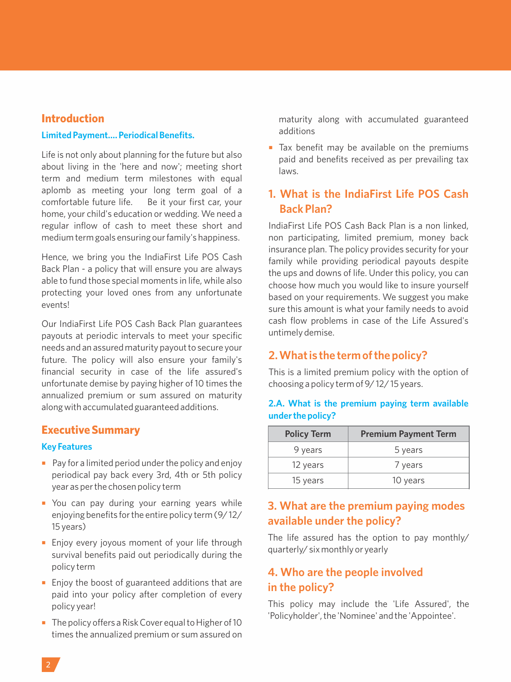#### **Introduction**

#### **Limited Payment…. Periodical Benefits.**

Life is not only about planning for the future but also about living in the 'here and now'; meeting short term and medium term milestones with equal aplomb as meeting your long term goal of a comfortable future life. Be it your first car, your home, your child's education or wedding. We need a regular inflow of cash to meet these short and medium term goals ensuring our family's happiness.

Hence, we bring you the IndiaFirst Life POS Cash Back Plan - a policy that will ensure you are always able to fund those special moments in life, while also protecting your loved ones from any unfortunate events!

Our IndiaFirst Life POS Cash Back Plan guarantees payouts at periodic intervals to meet your specific needs and an assured maturity payout to secure your future. The policy will also ensure your family's financial security in case of the life assured's unfortunate demise by paying higher of 10 times the annualized premium or sum assured on maturity along with accumulated guaranteed additions.

#### **Executive Summary**

#### **Key Features**

- $\blacksquare$  Pay for a limited period under the policy and enjoy periodical pay back every 3rd, 4th or 5th policy year as per the chosen policy term
- You can pay during your earning years while enjoying benefits for the entire policy term (9/ 12/ 15 years)
- **Enjoy every joyous moment of your life through** survival benefits paid out periodically during the policy term
- Enjoy the boost of guaranteed additions that are paid into your policy after completion of every policy year!
- The policy offers a Risk Cover equal to Higher of 10 times the annualized premium or sum assured on

maturity along with accumulated guaranteed additions

■ Tax benefit may be available on the premiums paid and benefits received as per prevailing tax laws.

## **1. What is the IndiaFirst Life POS Cash Back Plan?**

IndiaFirst Life POS Cash Back Plan is a non linked, non participating, limited premium, money back insurance plan. The policy provides security for your family while providing periodical payouts despite the ups and downs of life. Under this policy, you can choose how much you would like to insure yourself based on your requirements. We suggest you make sure this amount is what your family needs to avoid cash flow problems in case of the Life Assured's untimely demise.

## **2. What is the term of the policy?**

This is a limited premium policy with the option of choosing a policy term of 9/ 12/ 15 years.

| <b>Policy Term</b> | <b>Premium Payment Term</b> |
|--------------------|-----------------------------|
| 9 years            | 5 years                     |
| 12 years           | 7 years                     |
| 15 years           | 10 years                    |

## **2.A. What is the premium paying term available under the policy?**

## **3. What are the premium paying modes available under the policy?**

The life assured has the option to pay monthly/ quarterly/ six monthly or yearly

## **4. Who are the people involved in the policy?**

This policy may include the 'Life Assured', the 'Policyholder', the 'Nominee' and the 'Appointee'.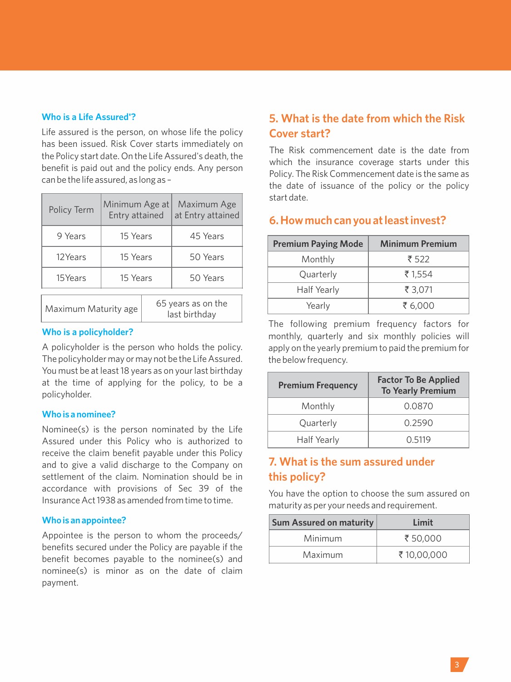#### **Who is a Life Assured'?**

Life assured is the person, on whose life the policy has been issued. Risk Cover starts immediately on the Policy start date. On the Life Assured's death, the benefit is paid out and the policy ends. Any person can be the life assured, as long as –

| Policy Term | Minimum Age at<br>Entry attained |  | Maximum Age<br>at Entry attained |
|-------------|----------------------------------|--|----------------------------------|
| 9 Years     | 15 Years                         |  | 45 Years                         |
| 12Years     | 15 Years                         |  | 50 Years                         |
| 15Years     | 15 Years                         |  | 50 Years                         |
| .           |                                  |  | 65 years as on the               |

Maximum Maturity age last birthday

#### **Who is a policyholder?**

A policyholder is the person who holds the policy. The policyholder may or may not be the Life Assured. You must be at least 18 years as on your last birthday at the time of applying for the policy, to be a policyholder.

#### **Who is a nominee?**

Nominee(s) is the person nominated by the Life Assured under this Policy who is authorized to receive the claim benefit payable under this Policy and to give a valid discharge to the Company on settlement of the claim. Nomination should be in accordance with provisions of Sec 39 of the Insurance Act 1938 as amended from time to time.

#### **Who is an appointee?**

Appointee is the person to whom the proceeds/ benefits secured under the Policy are payable if the benefit becomes payable to the nominee(s) and nominee(s) is minor as on the date of claim payment.

## **5. What is the date from which the Risk Cover start?**

The Risk commencement date is the date from which the insurance coverage starts under this Policy. The Risk Commencement date is the same as the date of issuance of the policy or the policy start date.

## **6. How much can you at least invest?**

| <b>Premium Paying Mode</b> | <b>Minimum Premium</b> |  |
|----------------------------|------------------------|--|
| Monthly                    | ₹ 522                  |  |
| Quarterly                  | ₹1,554                 |  |
| Half Yearly                | ₹ 3.071                |  |
| Yearly                     | ₹ 6.000                |  |

The following premium frequency factors for monthly, quarterly and six monthly policies will apply on the yearly premium to paid the premium for the below frequency.

| <b>Premium Frequency</b> | <b>Factor To Be Applied</b><br><b>To Yearly Premium</b> |  |
|--------------------------|---------------------------------------------------------|--|
| Monthly                  | 0.0870                                                  |  |
| Quarterly                | 0.2590                                                  |  |
| Half Yearly              | 0.5119                                                  |  |

## **7. What is the sum assured under this policy?**

You have the option to choose the sum assured on maturity as per your needs and requirement.

| <b>Sum Assured on maturity</b> | Limit      |  |
|--------------------------------|------------|--|
| Minimum                        | ₹ 50.000   |  |
| Maximum                        | ₹10,00,000 |  |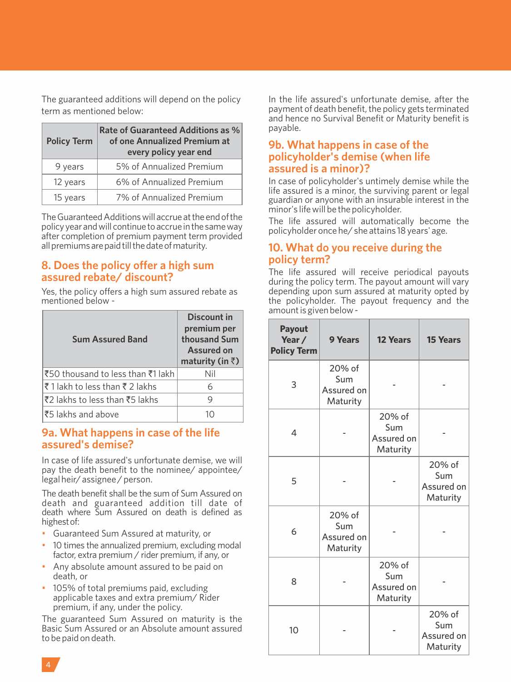The guaranteed additions will depend on the policy term as mentioned below:

| <b>Policy Term</b> | Rate of Guaranteed Additions as %<br>of one Annualized Premium at<br>every policy year end |  |
|--------------------|--------------------------------------------------------------------------------------------|--|
| 9 years            | 5% of Annualized Premium                                                                   |  |
| 12 years           | 6% of Annualized Premium                                                                   |  |
| 15 years           | 7% of Annualized Premium                                                                   |  |

The Guaranteed Additions will accrue at the end of the policy year and will continue to accrue in the same way after completion of premium payment term provided all premiums are paid till the date of maturity.

## **8. Does the policy offer a high sum assured rebate/ discount?**

Yes, the policy offers a high sum assured rebate as mentioned below -

| <b>Sum Assured Band</b>           | Discount in<br>premium per<br>thousand Sum<br>Assured on<br>maturity (in $\bar{z}$ ) |
|-----------------------------------|--------------------------------------------------------------------------------------|
| ₹50 thousand to less than ₹1 lakh | Nil                                                                                  |
| ₹1 lakh to less than ₹2 lakhs     | 6                                                                                    |
| ₹2 lakhs to less than ₹5 lakhs    | 9                                                                                    |
| ₹5 lakhs and above                | 10                                                                                   |

#### **9a. What happens in case of the life assured's demise?**

In case of life assured's unfortunate demise, we will pay the death benefit to the nominee/ appointee/ legal heir/ assignee / person.

The death benefit shall be the sum of Sum Assured on death and guaranteed addition till date of death where Sum Assured on death is defined as highestof:

- Guaranteed Sum Assured at maturity, or
- 10 times the annualized premium, excluding modal factor, extra premium / rider premium, if any, or
- Any absolute amount assured to be paid on death, or
- 105% of total premiums paid, excluding applicable taxes and extra premium/ Rider premium, if any, under the policy.

The guaranteed Sum Assured on maturity is the Basic Sum Assured or an Absolute amount assured to be paid on death.

In the life assured's unfortunate demise, after the payment of death benefit, the policy gets terminated and hence no Survival Benefit or Maturity benefit is payable.

#### **9b. What happens in case of the policyholder's demise (when life assured is a minor)?**

In case of policyholder's untimely demise while the life assured is a minor, the surviving parent or legal guardian or anyone with an insurable interest in the minor's life will be the policyholder.

The life assured will automatically become the policyholder once he/ she attains 18 years' age.

## **10. What do you receive during the policy term?**

The life assured will receive periodical payouts during the policy term. The payout amount will vary depending upon sum assured at maturity opted by the policyholder. The payout frequency and the amount is given below -

| <b>Payout</b><br>Year /<br><b>Policy Term</b> | 9 Years                                 | <b>12 Years</b>                         | <b>15 Years</b>                         |
|-----------------------------------------------|-----------------------------------------|-----------------------------------------|-----------------------------------------|
| 3                                             | 20% of<br>Sum<br>Assured on<br>Maturity |                                         |                                         |
| 4                                             |                                         | 20% of<br>Sum<br>Assured on<br>Maturity |                                         |
| 5                                             |                                         |                                         | 20% of<br>Sum<br>Assured on<br>Maturity |
| 6                                             | 20% of<br>Sum<br>Assured on<br>Maturity |                                         |                                         |
| 8                                             |                                         | 20% of<br>Sum<br>Assured on<br>Maturity |                                         |
| 10                                            |                                         |                                         | 20% of<br>Sum<br>Assured on<br>Maturity |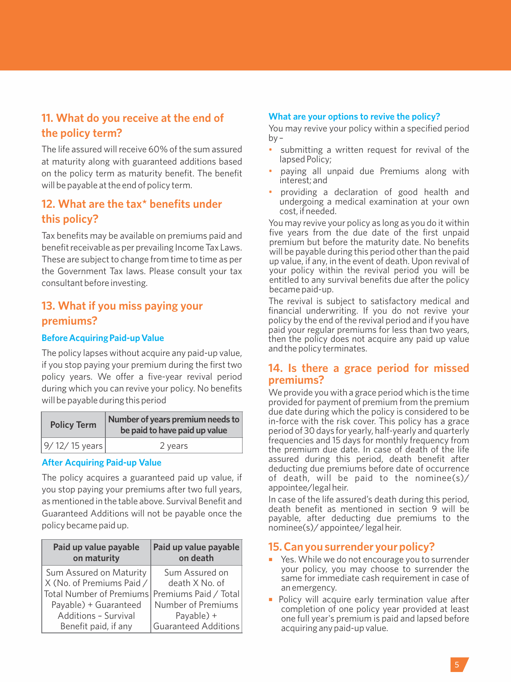## **11. What do you receive at the end of the policy term?**

The life assured will receive 60% of the sum assured at maturity along with guaranteed additions based on the policy term as maturity benefit. The benefit will be payable at the end of policy term.

## **12. What are the tax\* benefits under this policy?**

Tax benefits may be available on premiums paid and benefit receivable as per prevailing Income Tax Laws. These are subject to change from time to time as per the Government Tax laws. Please consult your tax consultant before investing.

## **13. What if you miss paying your premiums?**

#### **Before Acquiring Paid-up Value**

The policy lapses without acquire any paid-up value, if you stop paying your premium during the first two policy years. We offer a five-year revival period during which you can revive your policy. No benefits will be payable during this period

| <b>Policy Term</b> | Number of years premium needs to<br>be paid to have paid up value |  |
|--------------------|-------------------------------------------------------------------|--|
| 9/12/15 years      | 2 years                                                           |  |

#### **After Acquiring Paid-up Value**

The policy acquires a guaranteed paid up value, if you stop paying your premiums after two full years, as mentioned in the table above. Survival Benefit and Guaranteed Additions will not be payable once the policy became paid up.

| Paid up value payable<br>on maturity           | Paid up value payable<br>on death |  |
|------------------------------------------------|-----------------------------------|--|
| Sum Assured on Maturity                        | Sum Assured on                    |  |
| X (No. of Premiums Paid /                      | death X No. of                    |  |
| Total Number of Premiums Premiums Paid / Total |                                   |  |
| Payable) + Guaranteed                          | Number of Premiums                |  |
| Additions - Survival                           | Payable) +                        |  |
| Benefit paid, if any                           | <b>Guaranteed Additions</b>       |  |

#### **What are your options to revive the policy?**

You may revive your policy within a specified period  $bv -$ 

- submitting a written request for revival of the lapsed Policy;
- paying all unpaid due Premiums along with interest; and
- providing a declaration of good health and undergoing a medical examination at your own cost, if needed.

You may revive your policy as long as you do it within five years from the due date of the first unpaid premium but before the maturity date. No benefits will be payable during this period other than the paid up value, if any, in the event of death. Upon revival of your policy within the revival period you will be entitled to any survival benefits due after the policy became paid-up.

The revival is subject to satisfactory medical and financial underwriting. If you do not revive your policy by the end of the revival period and if you have paid your regular premiums for less than two years, then the policy does not acquire any paid up value and the policy terminates.

## **14. Is there a grace period for missed premiums?**

We provide you with a grace period which is the time provided for payment of premium from the premium due date during which the policy is considered to be in-force with the risk cover. This policy has a grace period of 30 days for yearly, half-yearly and quarterly frequencies and 15 days for monthly frequency from the premium due date. In case of death of the life assured during this period, death benefit after deducting due premiums before date of occurrence of death, will be paid to the nominee(s)/ appointee/legal heir.

In case of the life assured's death during this period, death benefit as mentioned in section 9 will be payable, after deducting due premiums to the nominee(s)/ appointee/ legal heir.

## **15. Can you surrender your policy?**

- ¡ Yes. While we do not encourage you to surrender your policy, you may choose to surrender the same for immediate cash requirement in case of an emergency.
- Policy will acquire early termination value after completion of one policy year provided at least one full year's premium is paid and lapsed before acquiring any paid-up value.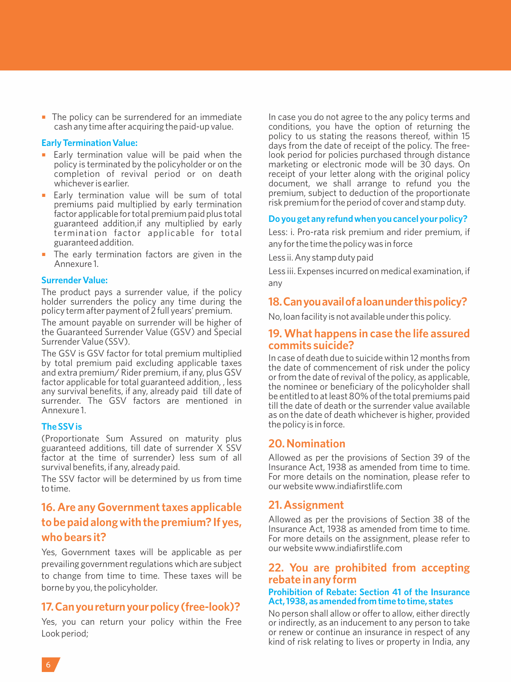$\blacksquare$  The policy can be surrendered for an immediate cash any time after acquiring the paid-up value.

#### **Early Termination Value:**

- Early termination value will be paid when the policy is terminated by the policyholder or on the completion of revival period or on death whichever is earlier.
- Early termination value will be sum of total premiums paid multiplied by early termination factor applicable for total premium paid plus total guaranteed addition,if any multiplied by early termination factor applicable for total guaranteed addition.
- The early termination factors are given in the Annexure 1.

#### **Surrender Value:**

The product pays a surrender value, if the policy holder surrenders the policy any time during the policy term after payment of 2 full years' premium.

The amount payable on surrender will be higher of the Guaranteed Surrender Value (GSV) and Special Surrender Value (SSV).

The GSV is GSV factor for total premium multiplied by total premium paid excluding applicable taxes and extra premium/ Rider premium, if any, plus GSV factor applicable for total guaranteed addition, , less any survival benefits, if any, already paid till date of surrender. The GSV factors are mentioned in Annexure 1.

#### **The SSV is**

(Proportionate Sum Assured on maturity plus guaranteed additions, till date of surrender X SSV factor at the time of surrender) less sum of all survival benefits, if any, already paid.

The SSV factor will be determined by us from time to time.

## **16. Are any Government taxes applicable to be paid along with the premium? If yes, who bears it?**

Yes, Government taxes will be applicable as per prevailing government regulations which are subject to change from time to time. These taxes will be borne by you, the policyholder.

## **17.Canyoureturnyourpolicy(free-look)?**

Yes, you can return your policy within the Free Look period;

In case you do not agree to the any policy terms and conditions, you have the option of returning the policy to us stating the reasons thereof, within 15 days from the date of receipt of the policy. The freelook period for policies purchased through distance marketing or electronic mode will be 30 days. On receipt of your letter along with the original policy document, we shall arrange to refund you the premium, subject to deduction of the proportionate risk premium for the period of cover and stamp duty.

#### **Do you get any refund when you cancel your policy?**

Less: i. Pro-rata risk premium and rider premium, if any for the time the policy was in force

Less ii. Any stamp duty paid

Less iii. Expenses incurred on medical examination, if any

## **18.Canyouavailofaloanunderthispolicy?**

No, loan facility is not available under this policy.

#### **19. What happens in case the life assured commits suicide?**

In case of death due to suicide within 12 months from the date of commencement of risk under the policy or from the date of revival of the policy, as applicable, the nominee or beneficiary of the policyholder shall be entitled to at least 80% of the total premiums paid till the date of death or the surrender value available as on the date of death whichever is higher, provided the policy is in force.

#### **20. Nomination**

Allowed as per the provisions of Section 39 of the Insurance Act, 1938 as amended from time to time. For more details on the nomination, please refer to our website www.indiafirstlife.com

## **21. Assignment**

Allowed as per the provisions of Section 38 of the Insurance Act, 1938 as amended from time to time. For more details on the assignment, please refer to our website www.indiafirstlife.com

#### **22. You are prohibited from accepting rebate in any form**

#### **Prohibition of Rebate: Section 41 of the Insurance Act, 1938, as amended from time to time, states**

No person shall allow or offer to allow, either directly or indirectly, as an inducement to any person to take or renew or continue an insurance in respect of any kind of risk relating to lives or property in India, any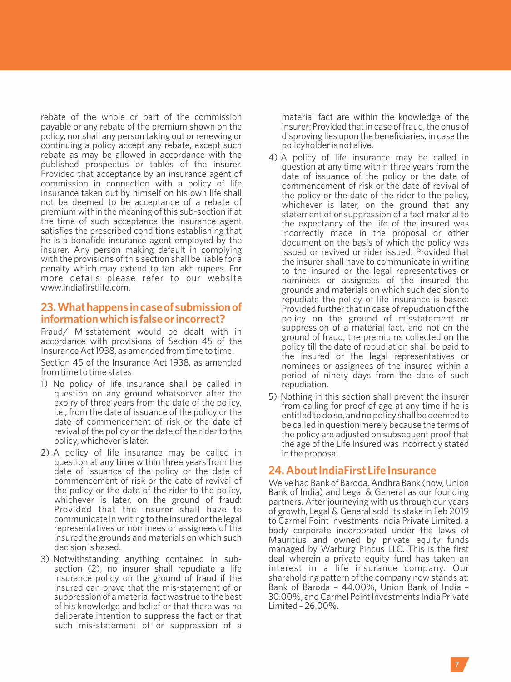rebate of the whole or part of the commission payable or any rebate of the premium shown on the policy, nor shall any person taking out or renewing or continuing a policy accept any rebate, except such rebate as may be allowed in accordance with the published prospectus or tables of the insurer. Provided that acceptance by an insurance agent of commission in connection with a policy of life insurance taken out by himself on his own life shall not be deemed to be acceptance of a rebate of premium within the meaning of this sub-section if at the time of such acceptance the insurance agent satisfies the prescribed conditions establishing that he is a bonafide insurance agent employed by the insurer. Any person making default in complying with the provisions of this section shall be liable for a penalty which may extend to ten lakh rupees. For more details please refer to our website www.indiafirstlife.com.

#### **23.Whathappensincaseofsubmissionof informationwhichisfalseorincorrect?**

Fraud/ Misstatement would be dealt with in accordance with provisions of Section 45 of the Insurance Act 1938, as amended from time to time.

Section 45 of the Insurance Act 1938, as amended from time to time states

- 1) No policy of life insurance shall be called in question on any ground whatsoever after the expiry of three years from the date of the policy, i.e., from the date of issuance of the policy or the date of commencement of risk or the date of revival of the policy or the date of the rider to the policy, whichever is later.
- 2) A policy of life insurance may be called in question at any time within three years from the date of issuance of the policy or the date of commencement of risk or the date of revival of the policy or the date of the rider to the policy, whichever is later, on the ground of fraud: Provided that the insurer shall have to communicate in writing to the insured or the legal representatives or nominees or assignees of the insured the grounds and materials on which such decision is based.
- 3) Notwithstanding anything contained in subsection (2), no insurer shall repudiate a life insurance policy on the ground of fraud if the insured can prove that the mis-statement of or suppression of a material fact was true to the best of his knowledge and belief or that there was no deliberate intention to suppress the fact or that such mis-statement of or suppression of a

material fact are within the knowledge of the insurer: Provided that in case of fraud, the onus of disproving lies upon the beneficiaries, in case the policyholder is not alive.

- 4) A policy of life insurance may be called in question at any time within three years from the date of issuance of the policy or the date of commencement of risk or the date of revival of the policy or the date of the rider to the policy, whichever is later, on the ground that any statement of or suppression of a fact material to the expectancy of the life of the insured was incorrectly made in the proposal or other document on the basis of which the policy was issued or revived or rider issued: Provided that the insurer shall have to communicate in writing to the insured or the legal representatives or nominees or assignees of the insured the grounds and materials on which such decision to repudiate the policy of life insurance is based: Provided further that in case of repudiation of the policy on the ground of misstatement or suppression of a material fact, and not on the ground of fraud, the premiums collected on the policy till the date of repudiation shall be paid to the insured or the legal representatives or nominees or assignees of the insured within a period of ninety days from the date of such repudiation.
- 5) Nothing in this section shall prevent the insurer from calling for proof of age at any time if he is entitled to do so, and no policy shall be deemed to be called in question merely because the terms of the policy are adjusted on subsequent proof that the age of the Life Insured was incorrectly stated in the proposal.

#### **24. About IndiaFirst Life Insurance**

We've had Bank of Baroda, Andhra Bank (now, Union Bank of India) and Legal & General as our founding partners. After journeying with us through our years of growth, Legal & General sold its stake in Feb 2019 to Carmel Point Investments India Private Limited, a body corporate incorporated under the laws of Mauritius and owned by private equity funds managed by Warburg Pincus LLC. This is the first deal wherein a private equity fund has taken an interest in a life insurance company. Our shareholding pattern of the company now stands at: Bank of Baroda – 44.00%, Union Bank of India – 30.00%, and Carmel Point Investments India Private Limited – 26.00%.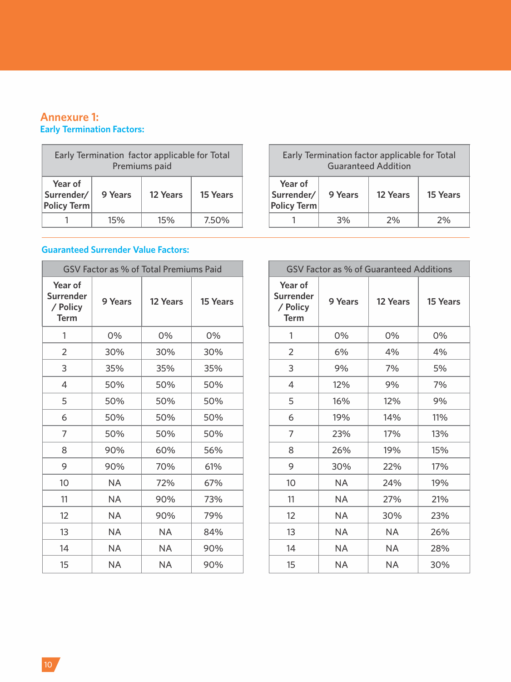## **Annexure 1: Early Termination Factors:**

| Early Termination factor applicable for Total<br>Premiums paid                 |     |     |       |
|--------------------------------------------------------------------------------|-----|-----|-------|
| Year of<br>Surrender/<br>9 Years<br>15 Years<br>12 Years<br><b>Policy Term</b> |     |     |       |
|                                                                                | 15% | 15% | 7.50% |

## **Guaranteed Surrender Value Factors:**

| GSV Factor as % of Total Premiums Paid          |         |           |          |
|-------------------------------------------------|---------|-----------|----------|
| Year of<br>Surrender<br>/ Policy<br><b>Term</b> | 9 Years | 12 Years  | 15 Years |
| 1                                               | 0%      | 0%        | 0%       |
| 2                                               | 30%     | 30%       | 30%      |
| 3                                               | 35%     | 35%       | 35%      |
| 4                                               | 50%     | 50%       | 50%      |
| 5                                               | 50%     | 50%       | 50%      |
| 6                                               | 50%     | 50%       | 50%      |
| 7                                               | 50%     | 50%       | 50%      |
| 8                                               | 90%     | 60%       | 56%      |
| 9                                               | 90%     | 70%       | 61%      |
| 10                                              | NA      | 72%       | 67%      |
| 11                                              | NA      | 90%       | 73%      |
| 12                                              | NA      | 90%       | 79%      |
| 13                                              | NA      | <b>NA</b> | 84%      |
| 14                                              | ΝA      | NA        | 90%      |
| 15                                              | ΝA      | NA        | 90%      |

| Early Termination factor applicable for Total<br><b>Guaranteed Addition</b> |         |          |          |  |
|-----------------------------------------------------------------------------|---------|----------|----------|--|
| Year of<br>Surrender/<br><b>Policy Term</b>                                 | 9 Years | 12 Years | 15 Years |  |
|                                                                             | 3%      | 2%       | 2%       |  |

٦

 $\blacksquare$ 

| GSV Factor as % of Guaranteed Additions         |           |          |          |  |
|-------------------------------------------------|-----------|----------|----------|--|
| Year of<br>Surrender<br>/ Policy<br><b>Term</b> | 9 Years   | 12 Years | 15 Years |  |
| 1                                               | 0%        | 0%       | 0%       |  |
| $\overline{2}$                                  | 6%        | 4%       | 4%       |  |
| 3                                               | 9%        | 7%       | 5%       |  |
| 4                                               | 12%       | 9%       | 7%       |  |
| 5                                               | 16%       | 12%      | 9%       |  |
| 6                                               | 19%       | 14%      | 11%      |  |
| 7                                               | 23%       | 17%      | 13%      |  |
| 8                                               | 26%       | 19%      | 15%      |  |
| 9                                               | 30%       | 22%      | 17%      |  |
| 10                                              | <b>NA</b> | 24%      | 19%      |  |
| 11                                              | <b>NA</b> | 27%      | 21%      |  |
| 12                                              | <b>NA</b> | 30%      | 23%      |  |
| 13                                              | <b>NA</b> | NA       | 26%      |  |
| 14                                              | <b>NA</b> | ΝA       | 28%      |  |
| 15                                              | NA        | NA       | 30%      |  |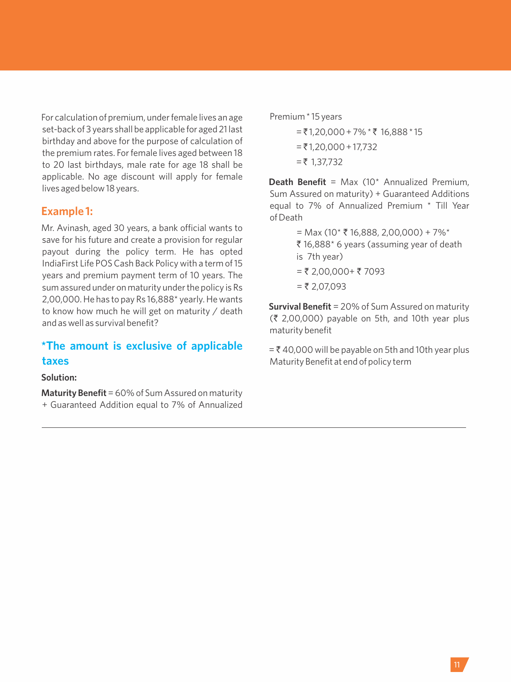For calculation of premium, under female lives an age set-back of 3 years shall be applicable for aged 21 last birthday and above for the purpose of calculation of the premium rates. For female lives aged between 18 to 20 last birthdays, male rate for age 18 shall be applicable. No age discount will apply for female lives aged below 18 years.

#### **Example 1:**

Mr. Avinash, aged 30 years, a bank official wants to save for his future and create a provision for regular payout during the policy term. He has opted IndiaFirst Life POS Cash Back Policy with a term of 15 years and premium payment term of 10 years. The sum assured under on maturity under the policy is Rs 2,00,000. He has to pay Rs 16,888\* yearly. He wants to know how much he will get on maturity / death and as well as survival benefit?

## **\*The amount is exclusive of applicable taxes**

**Solution:**

**Maturity Benefit**= 60% of Sum Assured on maturity + Guaranteed Addition equal to 7% of Annualized Premium \* 15 years

 $=$  ₹ 1,20,000 + 7%  $*$  ₹ 16,888  $*$  15  $=$  ₹ 1,20,000 + 17,732  $= 7 1,37,732$ 

**Death Benefit** = Max (10\* Annualized Premium, Sum Assured on maturity) + Guaranteed Additions equal to 7% of Annualized Premium \* Till Year of Death

> = Max (10\*  $\bar{\tau}$  16,888, 2,00,000) + 7%\* ₹ 16,888\* 6 years (assuming year of death is 7th year)  $= 7,00,000+ 7093$  $=$  ₹ 2,07,093

**Survival Benefit** = 20% of Sum Assured on maturity  $(3, 2,00,000)$  payable on 5th, and 10th year plus maturity benefit

 $=$  ₹ 40,000 will be payable on 5th and 10th year plus Maturity Benefit at end of policy term